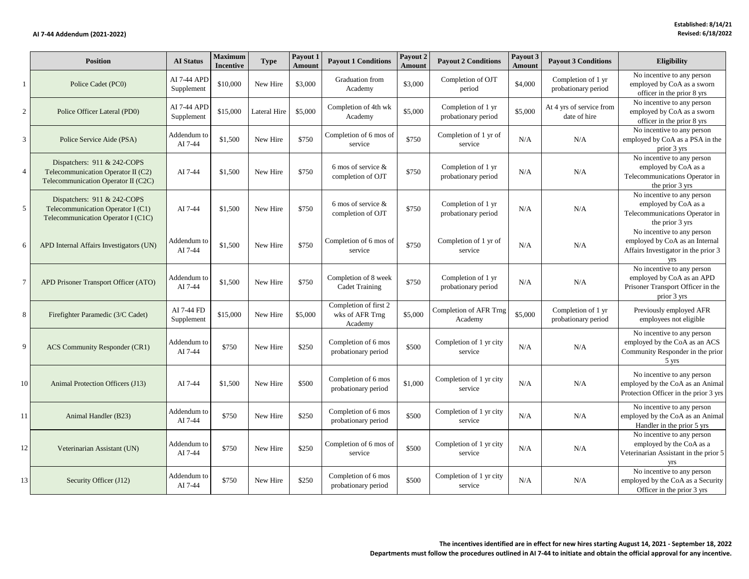|                | <b>Position</b>                                                                                          | <b>AI</b> Status          | Maximum<br><b>Incentive</b> | <b>Type</b>  | Payout 1<br>Amount | <b>Payout 1 Conditions</b>                          | Payout 2<br>Amount | <b>Payout 2 Conditions</b>                | Payout 3<br>Amount | <b>Payout 3 Conditions</b>                | <b>Eligibility</b>                                                                                            |
|----------------|----------------------------------------------------------------------------------------------------------|---------------------------|-----------------------------|--------------|--------------------|-----------------------------------------------------|--------------------|-------------------------------------------|--------------------|-------------------------------------------|---------------------------------------------------------------------------------------------------------------|
| $\mathbf{1}$   | Police Cadet (PC0)                                                                                       | AI 7-44 APD<br>Supplement | \$10,000                    | New Hire     | \$3,000            | Graduation from<br>Academy                          | \$3,000            | Completion of OJT<br>period               | \$4,000            | Completion of 1 yr<br>probationary period | No incentive to any person<br>employed by CoA as a sworn<br>officer in the prior 8 yrs                        |
| $\overline{c}$ | Police Officer Lateral (PD0)                                                                             | AI 7-44 APD<br>Supplement | \$15,000                    | Lateral Hire | \$5,000            | Completion of 4th wk<br>Academy                     | \$5,000            | Completion of 1 yr<br>probationary period | \$5,000            | At 4 yrs of service from<br>date of hire  | No incentive to any person<br>employed by CoA as a sworn<br>officer in the prior 8 yrs                        |
| 3              | Police Service Aide (PSA)                                                                                | Addendum to<br>AI 7-44    | \$1,500                     | New Hire     | \$750              | Completion of 6 mos of<br>service                   | \$750              | Completion of 1 yr of<br>service          | N/A                | N/A                                       | No incentive to any person<br>employed by CoA as a PSA in the<br>prior 3 yrs                                  |
| $\overline{4}$ | Dispatchers: 911 & 242-COPS<br>Telecommunication Operator II (C2)<br>Telecommunication Operator II (C2C) | AI 7-44                   | \$1,500                     | New Hire     | \$750              | 6 mos of service &<br>completion of OJT             | \$750              | Completion of 1 yr<br>probationary period | N/A                | N/A                                       | No incentive to any person<br>employed by CoA as a<br>Telecommunications Operator in<br>the prior 3 yrs       |
| 5              | Dispatchers: 911 & 242-COPS<br>Telecommunication Operator I (C1)<br>Telecommunication Operator I (C1C)   | AI 7-44                   | \$1,500                     | New Hire     | \$750              | 6 mos of service &<br>completion of OJT             | \$750              | Completion of 1 yr<br>probationary period | N/A                | N/A                                       | No incentive to any person<br>employed by CoA as a<br>Telecommunications Operator in<br>the prior 3 yrs       |
| 6              | APD Internal Affairs Investigators (UN)                                                                  | Addendum to<br>AI 7-44    | \$1,500                     | New Hire     | \$750              | Completion of 6 mos of<br>service                   | \$750              | Completion of 1 yr of<br>service          | N/A                | N/A                                       | No incentive to any person<br>employed by CoA as an Internal<br>Affairs Investigator in the prior 3           |
| $\tau$         | APD Prisoner Transport Officer (ATO)                                                                     | Addendum to<br>AI 7-44    | \$1,500                     | New Hire     | \$750              | Completion of 8 week<br><b>Cadet Training</b>       | \$750              | Completion of 1 yr<br>probationary period | N/A                | N/A                                       | No incentive to any person<br>employed by CoA as an APD<br>Prisoner Transport Officer in the<br>prior 3 yrs   |
| 8              | Firefighter Paramedic (3/C Cadet)                                                                        | AI 7-44 FD<br>Supplement  | \$15,000                    | New Hire     | \$5,000            | Completion of first 2<br>wks of AFR Trng<br>Academy | \$5,000            | Completion of AFR Trng<br>Academy         | \$5,000            | Completion of 1 yr<br>probationary period | Previously employed AFR<br>employees not eligible                                                             |
| 9              | <b>ACS</b> Community Responder (CR1)                                                                     | Addendum to<br>AI 7-44    | \$750                       | New Hire     | \$250              | Completion of 6 mos<br>probationary period          | \$500              | Completion of 1 yr city<br>service        | N/A                | N/A                                       | No incentive to any person<br>employed by the CoA as an ACS<br>Community Responder in the prior<br>5 yrs      |
| 10             | Animal Protection Officers (J13)                                                                         | AI 7-44                   | \$1,500                     | New Hire     | \$500              | Completion of 6 mos<br>probationary period          | \$1,000            | Completion of 1 yr city<br>service        | N/A                | N/A                                       | No incentive to any person<br>employed by the CoA as an Animal<br>Protection Officer in the prior 3 yrs       |
| 11             | Animal Handler (B23)                                                                                     | Addendum to<br>AI 7-44    | \$750                       | New Hire     | \$250              | Completion of 6 mos<br>probationary period          | \$500              | Completion of 1 yr city<br>service        | N/A                | N/A                                       | No incentive to any person<br>employed by the CoA as an Animal<br>Handler in the prior 5 yrs                  |
| 12             | Veterinarian Assistant (UN)                                                                              | Addendum to<br>AI 7-44    | \$750                       | New Hire     | \$250              | Completion of 6 mos of<br>service                   | \$500              | Completion of 1 yr city<br>service        | N/A                | N/A                                       | No incentive to any person<br>employed by the CoA as a<br>Veterinarian Assistant in the prior 5<br><b>Vrs</b> |
| 13             | Security Officer (J12)                                                                                   | Addendum to<br>AI 7-44    | \$750                       | New Hire     | \$250              | Completion of 6 mos<br>probationary period          | \$500              | Completion of 1 yr city<br>service        | N/A                | N/A                                       | No incentive to any person<br>employed by the CoA as a Security<br>Officer in the prior 3 yrs                 |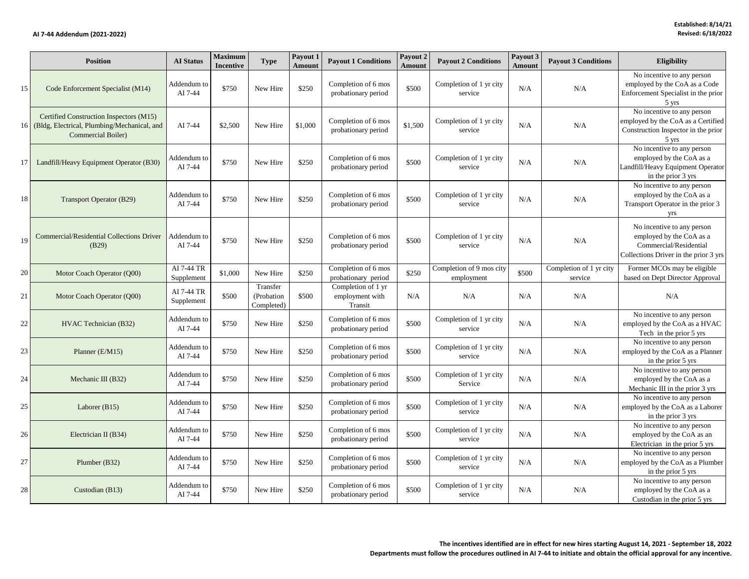|    | <b>Position</b>                                                                                              | <b>AI</b> Status         | <b>Maximum</b><br><b>Incentive</b> | <b>Type</b>                          | Payout 1<br><b>Amount</b> | <b>Payout 1 Conditions</b>                       | Payout 2<br><b>Amount</b> | <b>Payout 2 Conditions</b>             | Payout 3<br>Amount | <b>Payout 3 Conditions</b>         | <b>Eligibility</b>                                                                                                         |
|----|--------------------------------------------------------------------------------------------------------------|--------------------------|------------------------------------|--------------------------------------|---------------------------|--------------------------------------------------|---------------------------|----------------------------------------|--------------------|------------------------------------|----------------------------------------------------------------------------------------------------------------------------|
| 15 | Code Enforcement Specialist (M14)                                                                            | Addendum to<br>AI 7-44   | \$750                              | New Hire                             | \$250                     | Completion of 6 mos<br>probationary period       | \$500                     | Completion of 1 yr city<br>service     | N/A                | N/A                                | No incentive to any person<br>employed by the CoA as a Code<br>Enforcement Specialist in the prior<br>$5 \text{ yrs}$      |
| 16 | Certified Construction Inspectors (M15)<br>(Bldg, Electrical, Plumbing/Mechanical, and<br>Commercial Boiler) | AI 7-44                  | \$2,500                            | New Hire                             | \$1,000                   | Completion of 6 mos<br>probationary period       | \$1,500                   | Completion of 1 yr city<br>service     | N/A                | N/A                                | No incentive to any person<br>employed by the CoA as a Certified<br>Construction Inspector in the prior<br>$5 \text{ yrs}$ |
| 17 | Landfill/Heavy Equipment Operator (B30)                                                                      | Addendum to<br>AI 7-44   | \$750                              | New Hire                             | \$250                     | Completion of 6 mos<br>probationary period       | \$500                     | Completion of 1 yr city<br>service     | N/A                | N/A                                | No incentive to any person<br>employed by the CoA as a<br>Landfill/Heavy Equipment Operator<br>in the prior 3 yrs          |
| 18 | <b>Transport Operator (B29)</b>                                                                              | Addendum to<br>AI 7-44   | \$750                              | New Hire                             | \$250                     | Completion of 6 mos<br>probationary period       | \$500                     | Completion of 1 yr city<br>service     | N/A                | N/A                                | No incentive to any person<br>employed by the CoA as a<br>Transport Operator in the prior 3<br><b>Vrs</b>                  |
| 19 | Commercial/Residential Collections Driver<br>(B29)                                                           | Addendum to<br>AI 7-44   | \$750                              | New Hire                             | \$250                     | Completion of 6 mos<br>probationary period       | \$500                     | Completion of 1 yr city<br>service     | N/A                | N/A                                | No incentive to any person<br>employed by the CoA as a<br>Commercial/Residential<br>Collections Driver in the prior 3 yrs  |
| 20 | Motor Coach Operator (Q00)                                                                                   | AI 7-44 TR<br>Supplement | \$1,000                            | New Hire                             | \$250                     | Completion of 6 mos<br>probationary period       | \$250                     | Completion of 9 mos city<br>employment | \$500              | Completion of 1 yr city<br>service | Former MCOs may be eligible<br>based on Dept Director Approval                                                             |
| 21 | Motor Coach Operator (O00)                                                                                   | AI 7-44 TR<br>Supplement | \$500                              | Transfer<br>(Probation<br>Completed) | \$500                     | Completion of 1 yr<br>employment with<br>Transit | N/A                       | N/A                                    | N/A                | N/A                                | N/A                                                                                                                        |
| 22 | HVAC Technician (B32)                                                                                        | Addendum to<br>AI 7-44   | \$750                              | New Hire                             | \$250                     | Completion of 6 mos<br>probationary period       | \$500                     | Completion of 1 yr city<br>service     | N/A                | N/A                                | No incentive to any person<br>employed by the CoA as a HVAC<br>Tech in the prior 5 yrs                                     |
| 23 | Planner (E/M15)                                                                                              | Addendum to<br>AI 7-44   | \$750                              | New Hire                             | \$250                     | Completion of 6 mos<br>probationary period       | \$500                     | Completion of 1 yr city<br>service     | N/A                | N/A                                | No incentive to any person<br>employed by the CoA as a Planner<br>in the prior 5 yrs                                       |
| 24 | Mechanic III (B32)                                                                                           | Addendum to<br>AI 7-44   | \$750                              | New Hire                             | \$250                     | Completion of 6 mos<br>probationary period       | \$500                     | Completion of 1 yr city<br>Service     | N/A                | N/A                                | No incentive to any person<br>employed by the CoA as a<br>Mechanic III in the prior 3 yrs                                  |
| 25 | Laborer $(B15)$                                                                                              | Addendum to<br>AI 7-44   | \$750                              | New Hire                             | \$250                     | Completion of 6 mos<br>probationary period       | \$500                     | Completion of 1 yr city<br>service     | N/A                | N/A                                | No incentive to any person<br>employed by the CoA as a Laborer<br>in the prior 3 yrs                                       |
| 26 | Electrician II (B34)                                                                                         | Addendum to<br>AI 7-44   | \$750                              | New Hire                             | \$250                     | Completion of 6 mos<br>probationary period       | \$500                     | Completion of 1 yr city<br>service     | N/A                | N/A                                | No incentive to any person<br>employed by the CoA as an<br>Electrician in the prior 5 yrs                                  |
| 27 | Plumber (B32)                                                                                                | Addendum to<br>AI 7-44   | \$750                              | New Hire                             | \$250                     | Completion of 6 mos<br>probationary period       | \$500                     | Completion of 1 yr city<br>service     | N/A                | N/A                                | No incentive to any person<br>employed by the CoA as a Plumber<br>in the prior 5 yrs                                       |
| 28 | Custodian (B13)                                                                                              | Addendum to<br>AI 7-44   | \$750                              | New Hire                             | \$250                     | Completion of 6 mos<br>probationary period       | \$500                     | Completion of 1 yr city<br>service     | N/A                | N/A                                | No incentive to any person<br>employed by the CoA as a<br>Custodian in the prior 5 yrs                                     |